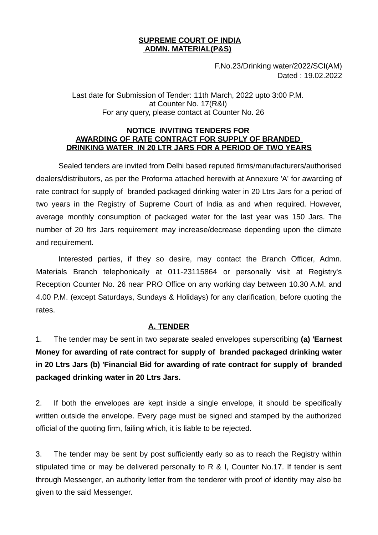### **SUPREME COURT OF INDIA ADMN. MATERIAL(P&S)**

F.No.23/Drinking water/2022/SCI(AM) Dated : 19.02.2022

Last date for Submission of Tender: 11th March, 2022 upto 3:00 P.M. at Counter No. 17(R&I) For any query, please contact at Counter No. 26

#### **NOTICE INVITING TENDERS FOR AWARDING OF RATE CONTRACT FOR SUPPLY OF BRANDED DRINKING WATER IN 20 LTR JARS FOR A PERIOD OF TWO YEARS**

Sealed tenders are invited from Delhi based reputed firms/manufacturers/authorised dealers/distributors, as per the Proforma attached herewith at Annexure 'A' for awarding of rate contract for supply of branded packaged drinking water in 20 Ltrs Jars for a period of two years in the Registry of Supreme Court of India as and when required. However, average monthly consumption of packaged water for the last year was 150 Jars. The number of 20 ltrs Jars requirement may increase/decrease depending upon the climate and requirement.

Interested parties, if they so desire, may contact the Branch Officer, Admn. Materials Branch telephonically at 011-23115864 or personally visit at Registry's Reception Counter No. 26 near PRO Office on any working day between 10.30 A.M. and 4.00 P.M. (except Saturdays, Sundays & Holidays) for any clarification, before quoting the rates.

## **A. TENDER**

1. The tender may be sent in two separate sealed envelopes superscribing **(a) 'Earnest Money for awarding of rate contract for supply of branded packaged drinking water in 20 Ltrs Jars (b) 'Financial Bid for awarding of rate contract for supply of branded packaged drinking water in 20 Ltrs Jars.** 

2. If both the envelopes are kept inside a single envelope, it should be specifically written outside the envelope. Every page must be signed and stamped by the authorized official of the quoting firm, failing which, it is liable to be rejected.

3. The tender may be sent by post sufficiently early so as to reach the Registry within stipulated time or may be delivered personally to R & I, Counter No.17. If tender is sent through Messenger, an authority letter from the tenderer with proof of identity may also be given to the said Messenger.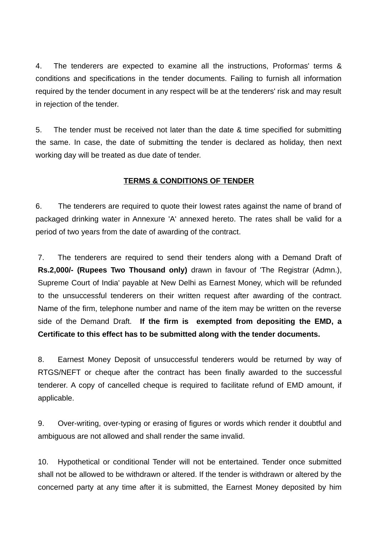4. The tenderers are expected to examine all the instructions, Proformas' terms & conditions and specifications in the tender documents. Failing to furnish all information required by the tender document in any respect will be at the tenderers' risk and may result in rejection of the tender.

5. The tender must be received not later than the date & time specified for submitting the same. In case, the date of submitting the tender is declared as holiday, then next working day will be treated as due date of tender.

# **TERMS & CONDITIONS OF TENDER**

6. The tenderers are required to quote their lowest rates against the name of brand of packaged drinking water in Annexure 'A' annexed hereto. The rates shall be valid for a period of two years from the date of awarding of the contract.

7. The tenderers are required to send their tenders along with a Demand Draft of **Rs.2,000/- (Rupees Two Thousand only)** drawn in favour of 'The Registrar (Admn.), Supreme Court of India' payable at New Delhi as Earnest Money, which will be refunded to the unsuccessful tenderers on their written request after awarding of the contract. Name of the firm, telephone number and name of the item may be written on the reverse side of the Demand Draft. **If the firm is exempted from depositing the EMD, a Certificate to this effect has to be submitted along with the tender documents.**

8. Earnest Money Deposit of unsuccessful tenderers would be returned by way of RTGS/NEFT or cheque after the contract has been finally awarded to the successful tenderer. A copy of cancelled cheque is required to facilitate refund of EMD amount, if applicable.

9. Over-writing, over-typing or erasing of figures or words which render it doubtful and ambiguous are not allowed and shall render the same invalid.

10. Hypothetical or conditional Tender will not be entertained. Tender once submitted shall not be allowed to be withdrawn or altered. If the tender is withdrawn or altered by the concerned party at any time after it is submitted, the Earnest Money deposited by him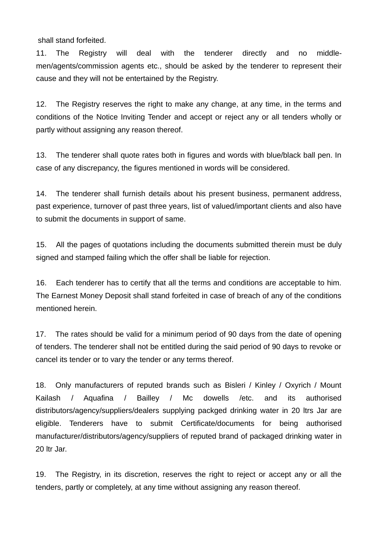shall stand forfeited.

11. The Registry will deal with the tenderer directly and no middlemen/agents/commission agents etc., should be asked by the tenderer to represent their cause and they will not be entertained by the Registry.

12. The Registry reserves the right to make any change, at any time, in the terms and conditions of the Notice Inviting Tender and accept or reject any or all tenders wholly or partly without assigning any reason thereof.

13. The tenderer shall quote rates both in figures and words with blue/black ball pen. In case of any discrepancy, the figures mentioned in words will be considered.

14. The tenderer shall furnish details about his present business, permanent address, past experience, turnover of past three years, list of valued/important clients and also have to submit the documents in support of same.

15. All the pages of quotations including the documents submitted therein must be duly signed and stamped failing which the offer shall be liable for rejection.

16. Each tenderer has to certify that all the terms and conditions are acceptable to him. The Earnest Money Deposit shall stand forfeited in case of breach of any of the conditions mentioned herein.

17. The rates should be valid for a minimum period of 90 days from the date of opening of tenders. The tenderer shall not be entitled during the said period of 90 days to revoke or cancel its tender or to vary the tender or any terms thereof.

18. Only manufacturers of reputed brands such as Bisleri / Kinley / Oxyrich / Mount Kailash / Aquafina / Bailley / Mc dowells /etc. and its authorised distributors/agency/suppliers/dealers supplying packged drinking water in 20 ltrs Jar are eligible. Tenderers have to submit Certificate/documents for being authorised manufacturer/distributors/agency/suppliers of reputed brand of packaged drinking water in 20 ltr Jar.

19. The Registry, in its discretion, reserves the right to reject or accept any or all the tenders, partly or completely, at any time without assigning any reason thereof.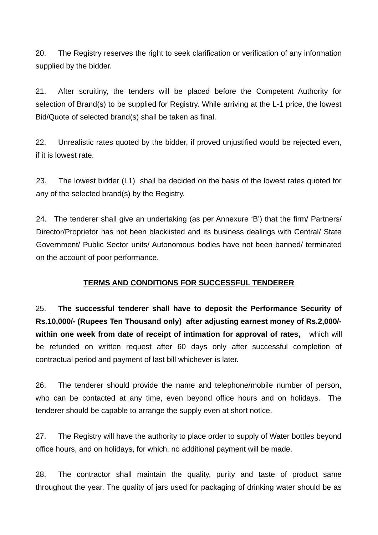20. The Registry reserves the right to seek clarification or verification of any information supplied by the bidder.

21. After scruitiny, the tenders will be placed before the Competent Authority for selection of Brand(s) to be supplied for Registry. While arriving at the L-1 price, the lowest Bid/Quote of selected brand(s) shall be taken as final.

22. Unrealistic rates quoted by the bidder, if proved unjustified would be rejected even, if it is lowest rate.

23. The lowest bidder (L1) shall be decided on the basis of the lowest rates quoted for any of the selected brand(s) by the Registry.

24. The tenderer shall give an undertaking (as per Annexure 'B') that the firm/ Partners/ Director/Proprietor has not been blacklisted and its business dealings with Central/ State Government/ Public Sector units/ Autonomous bodies have not been banned/ terminated on the account of poor performance.

# **TERMS AND CONDITIONS FOR SUCCESSFUL TENDERER**

25. **The successful tenderer shall have to deposit the Performance Security of Rs.10,000/- (Rupees Ten Thousand only) after adjusting earnest money of Rs.2,000/ within one week from date of receipt of intimation for approval of rates,** which will be refunded on written request after 60 days only after successful completion of contractual period and payment of last bill whichever is later.

26. The tenderer should provide the name and telephone/mobile number of person, who can be contacted at any time, even beyond office hours and on holidays. The tenderer should be capable to arrange the supply even at short notice.

27. The Registry will have the authority to place order to supply of Water bottles beyond office hours, and on holidays, for which, no additional payment will be made.

28. The contractor shall maintain the quality, purity and taste of product same throughout the year. The quality of jars used for packaging of drinking water should be as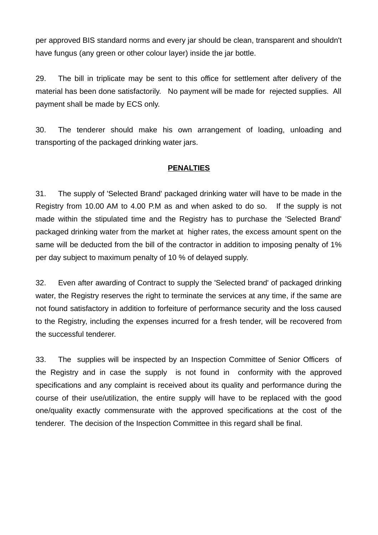per approved BIS standard norms and every jar should be clean, transparent and shouldn't have fungus (any green or other colour layer) inside the jar bottle.

29. The bill in triplicate may be sent to this office for settlement after delivery of the material has been done satisfactorily. No payment will be made for rejected supplies. All payment shall be made by ECS only.

30. The tenderer should make his own arrangement of loading, unloading and transporting of the packaged drinking water jars.

# **PENALTIES**

31. The supply of 'Selected Brand' packaged drinking water will have to be made in the Registry from 10.00 AM to 4.00 P.M as and when asked to do so. If the supply is not made within the stipulated time and the Registry has to purchase the 'Selected Brand' packaged drinking water from the market at higher rates, the excess amount spent on the same will be deducted from the bill of the contractor in addition to imposing penalty of 1% per day subject to maximum penalty of 10 % of delayed supply.

32. Even after awarding of Contract to supply the 'Selected brand' of packaged drinking water, the Registry reserves the right to terminate the services at any time, if the same are not found satisfactory in addition to forfeiture of performance security and the loss caused to the Registry, including the expenses incurred for a fresh tender, will be recovered from the successful tenderer.

33. The supplies will be inspected by an Inspection Committee of Senior Officers of the Registry and in case the supply is not found in conformity with the approved specifications and any complaint is received about its quality and performance during the course of their use/utilization, the entire supply will have to be replaced with the good one/quality exactly commensurate with the approved specifications at the cost of the tenderer. The decision of the Inspection Committee in this regard shall be final.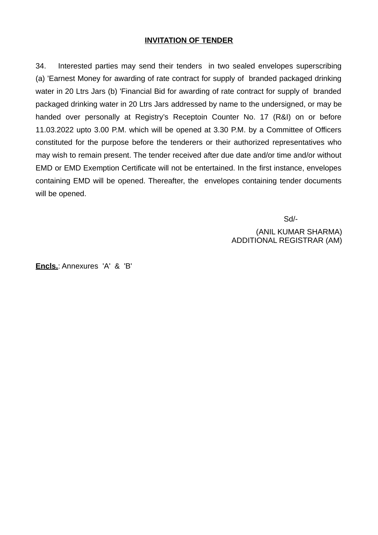#### **INVITATION OF TENDER**

34. Interested parties may send their tenders in two sealed envelopes superscribing (a) 'Earnest Money for awarding of rate contract for supply of branded packaged drinking water in 20 Ltrs Jars (b) 'Financial Bid for awarding of rate contract for supply of branded packaged drinking water in 20 Ltrs Jars addressed by name to the undersigned, or may be handed over personally at Registry's Receptoin Counter No. 17 (R&I) on or before 11.03.2022 upto 3.00 P.M. which will be opened at 3.30 P.M. by a Committee of Officers constituted for the purpose before the tenderers or their authorized representatives who may wish to remain present. The tender received after due date and/or time and/or without EMD or EMD Exemption Certificate will not be entertained. In the first instance, envelopes containing EMD will be opened. Thereafter, the envelopes containing tender documents will be opened.

Sd/-

 (ANIL KUMAR SHARMA) ADDITIONAL REGISTRAR (AM)

**Encls.**: Annexures 'A' & 'B'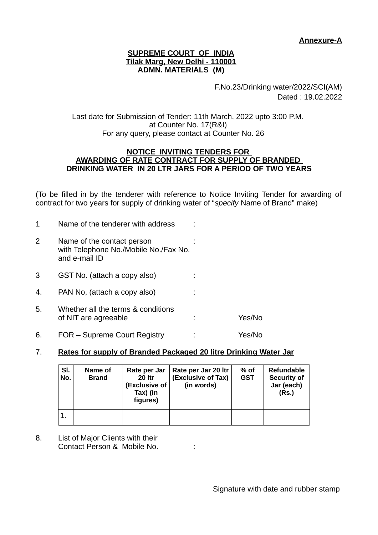## **Annexure-A**

#### **SUPREME COURT OF INDIA Tilak Marg, New Delhi - 110001 ADMN. MATERIALS (M)**

F.No.23/Drinking water/2022/SCI(AM) Dated : 19.02.2022

Last date for Submission of Tender: 11th March, 2022 upto 3:00 P.M. at Counter No. 17(R&I) For any query, please contact at Counter No. 26

#### **NOTICE INVITING TENDERS FOR AWARDING OF RATE CONTRACT FOR SUPPLY OF BRANDED DRINKING WATER IN 20 LTR JARS FOR A PERIOD OF TWO YEARS**

(To be filled in by the tenderer with reference to Notice Inviting Tender for awarding of contract for two years for supply of drinking water of "*specify* Name of Brand" make)

| 1  | Name of the tenderer with address                                                    |        |
|----|--------------------------------------------------------------------------------------|--------|
| 2  | Name of the contact person<br>with Telephone No./Mobile No./Fax No.<br>and e-mail ID |        |
| 3  | GST No. (attach a copy also)                                                         |        |
| 4. | PAN No, (attach a copy also)                                                         |        |
| 5. | Whether all the terms & conditions<br>of NIT are agreeable                           | Yes/No |
| 6. | FOR – Supreme Court Registry                                                         | Yes/No |

## 7. **Rates for supply of Branded Packaged 20 litre Drinking Water Jar**

| SI.<br>No. | Name of<br><b>Brand</b> | Rate per Jar<br><b>20 ltr</b><br><b>(Exclusive of</b><br>Tax) (in<br>figures) | Rate per Jar 20 ltr<br>(Exclusive of Tax)<br>(in words) | % of<br><b>GST</b> | Refundable<br><b>Security of</b><br>Jar (each)<br>(Rs.) |
|------------|-------------------------|-------------------------------------------------------------------------------|---------------------------------------------------------|--------------------|---------------------------------------------------------|
|            |                         |                                                                               |                                                         |                    |                                                         |

8. List of Major Clients with their Contact Person & Mobile No. :

Signature with date and rubber stamp